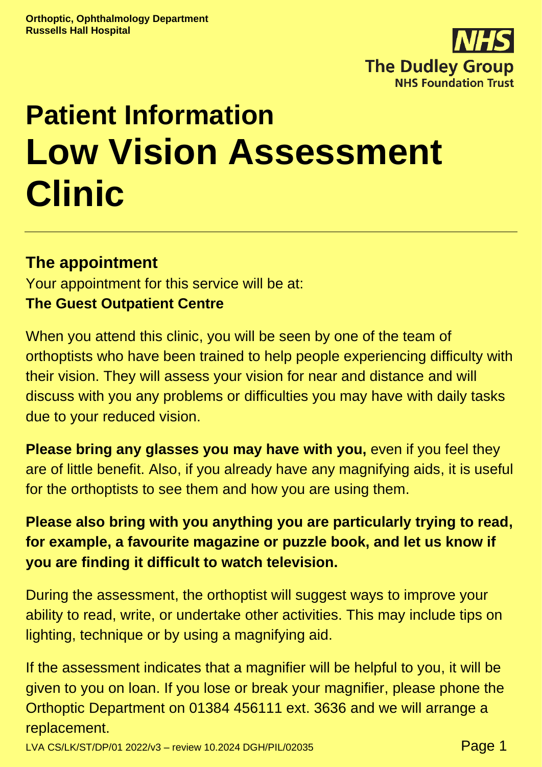

# **Patient Information Low Vision Assessment Clinic**

# **The appointment**

Your appointment for this service will be at: **The Guest Outpatient Centre**

When you attend this clinic, you will be seen by one of the team of orthoptists who have been trained to help people experiencing difficulty with their vision. They will assess your vision for near and distance and will discuss with you any problems or difficulties you may have with daily tasks due to your reduced vision.

**Please bring any glasses you may have with you,** even if you feel they are of little benefit. Also, if you already have any magnifying aids, it is useful for the orthoptists to see them and how you are using them.

# **Please also bring with you anything you are particularly trying to read, for example, a favourite magazine or puzzle book, and let us know if you are finding it difficult to watch television.**

During the assessment, the orthoptist will suggest ways to improve your ability to read, write, or undertake other activities. This may include tips on lighting, technique or by using a magnifying aid.

If the assessment indicates that a magnifier will be helpful to you, it will be given to you on loan. If you lose or break your magnifier, please phone the Orthoptic Department on 01384 456111 ext. 3636 and we will arrange a replacement.

LVA CS/LK/ST/DP/01 2022/v3 - review 10.2024 DGH/PIL/02035 **Page 1**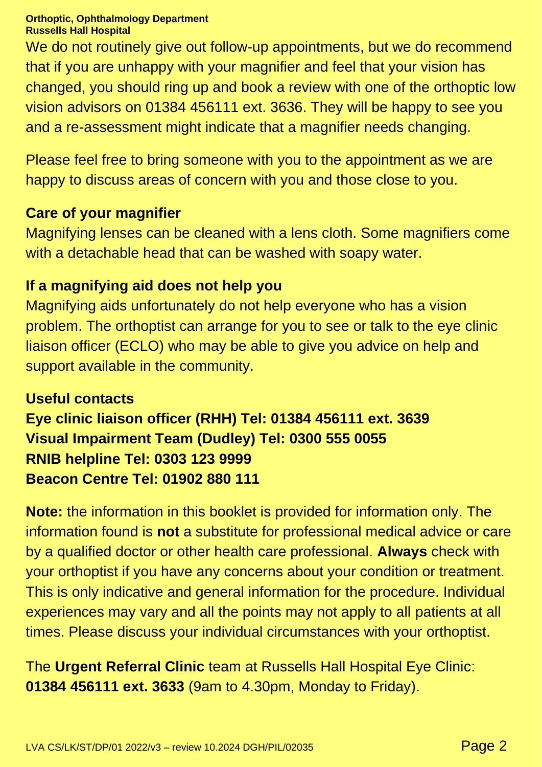#### **Orthoptic, Ophthalmology Department Russells Hall Hospital**

We do not routinely give out follow-up appointments, but we do recommend that if you are unhappy with your magnifier and feel that your vision has changed, you should ring up and book a review with one of the orthoptic low vision advisors on 01384 456111 ext. 3636. They will be happy to see you and a re-assessment might indicate that a magnifier needs changing.

Please feel free to bring someone with you to the appointment as we are happy to discuss areas of concern with you and those close to you.

#### **Care of your magnifier**

Magnifying lenses can be cleaned with a lens cloth. Some magnifiers come with a detachable head that can be washed with soapy water.

#### **If a magnifying aid does not help you**

Magnifying aids unfortunately do not help everyone who has a vision problem. The orthoptist can arrange for you to see or talk to the eye clinic liaison officer (ECLO) who may be able to give you advice on help and support available in the community.

# **Useful contacts Eye clinic liaison officer (RHH) Tel: 01384 456111 ext. 3639 Visual Impairment Team (Dudley) Tel: 0300 555 0055 RNIB helpline Tel: 0303 123 9999 Beacon Centre Tel: 01902 880 111**

**Note:** the information in this booklet is provided for information only. The information found is **not** a substitute for professional medical advice or care by a qualified doctor or other health care professional. **Always** check with your orthoptist if you have any concerns about your condition or treatment. This is only indicative and general information for the procedure. Individual experiences may vary and all the points may not apply to all patients at all times. Please discuss your individual circumstances with your orthoptist.

The **Urgent Referral Clinic** team at Russells Hall Hospital Eye Clinic: **01384 456111 ext. 3633** (9am to 4.30pm, Monday to Friday).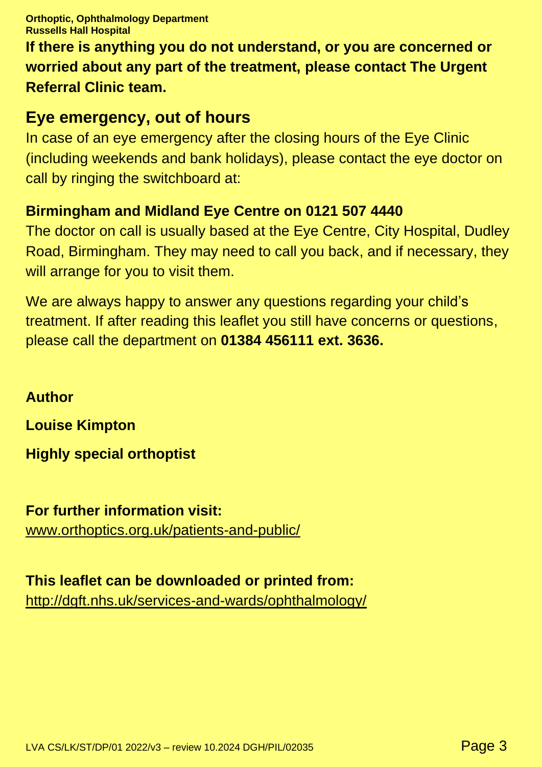**Orthoptic, Ophthalmology Department Russells Hall Hospital**

**If there is anything you do not understand, or you are concerned or worried about any part of the treatment, please contact The Urgent Referral Clinic team.**

## **Eye emergency, out of hours**

In case of an eye emergency after the closing hours of the Eye Clinic (including weekends and bank holidays), please contact the eye doctor on call by ringing the switchboard at:

### **Birmingham and Midland Eye Centre on 0121 507 4440**

The doctor on call is usually based at the Eye Centre, City Hospital, Dudley Road, Birmingham. They may need to call you back, and if necessary, they will arrange for you to visit them.

We are always happy to answer any questions regarding your child's treatment. If after reading this leaflet you still have concerns or questions, please call the department on **01384 456111 ext. 3636.**

**Author Louise Kimpton Highly special orthoptist**

**For further information visit:** [www.orthoptics.org.uk/patients-and-public/](https://www.orthoptics.org.uk/patients-and-public/)

### **This leaflet can be downloaded or printed from:**

http://dgft.nhs.uk/services-and-wards/ophthalmology/